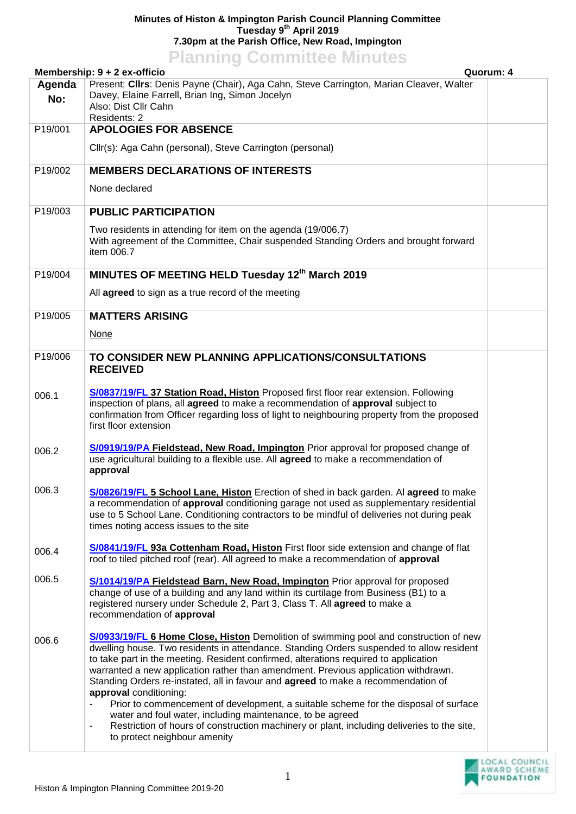## **Minutes of Histon & Impington Parish Council Planning Committee Tuesday 9 th April 2019 7.30pm at the Parish Office, New Road, Impington Planning Committee Minutes**

|               | <u>I KITTING UUTIILIISUU MIITUU</u><br>Membership: $9 + 2$ ex-officio                                                                                                                                                                                                                                                                                                                                                                                                                                                                                                                                                                                                                                                                                                 | Quorum: 4 |
|---------------|-----------------------------------------------------------------------------------------------------------------------------------------------------------------------------------------------------------------------------------------------------------------------------------------------------------------------------------------------------------------------------------------------------------------------------------------------------------------------------------------------------------------------------------------------------------------------------------------------------------------------------------------------------------------------------------------------------------------------------------------------------------------------|-----------|
| Agenda<br>No: | Present: Cllrs: Denis Payne (Chair), Aga Cahn, Steve Carrington, Marian Cleaver, Walter<br>Davey, Elaine Farrell, Brian Ing, Simon Jocelyn<br>Also: Dist Cllr Cahn<br>Residents: 2                                                                                                                                                                                                                                                                                                                                                                                                                                                                                                                                                                                    |           |
| P19/001       | <b>APOLOGIES FOR ABSENCE</b>                                                                                                                                                                                                                                                                                                                                                                                                                                                                                                                                                                                                                                                                                                                                          |           |
|               | Cllr(s): Aga Cahn (personal), Steve Carrington (personal)                                                                                                                                                                                                                                                                                                                                                                                                                                                                                                                                                                                                                                                                                                             |           |
| P19/002       | <b>MEMBERS DECLARATIONS OF INTERESTS</b>                                                                                                                                                                                                                                                                                                                                                                                                                                                                                                                                                                                                                                                                                                                              |           |
|               | None declared                                                                                                                                                                                                                                                                                                                                                                                                                                                                                                                                                                                                                                                                                                                                                         |           |
| P19/003       | <b>PUBLIC PARTICIPATION</b>                                                                                                                                                                                                                                                                                                                                                                                                                                                                                                                                                                                                                                                                                                                                           |           |
|               | Two residents in attending for item on the agenda (19/006.7)<br>With agreement of the Committee, Chair suspended Standing Orders and brought forward<br>item 006.7                                                                                                                                                                                                                                                                                                                                                                                                                                                                                                                                                                                                    |           |
| P19/004       | MINUTES OF MEETING HELD Tuesday 12th March 2019                                                                                                                                                                                                                                                                                                                                                                                                                                                                                                                                                                                                                                                                                                                       |           |
|               | All agreed to sign as a true record of the meeting                                                                                                                                                                                                                                                                                                                                                                                                                                                                                                                                                                                                                                                                                                                    |           |
| P19/005       | <b>MATTERS ARISING</b>                                                                                                                                                                                                                                                                                                                                                                                                                                                                                                                                                                                                                                                                                                                                                |           |
|               | <b>None</b>                                                                                                                                                                                                                                                                                                                                                                                                                                                                                                                                                                                                                                                                                                                                                           |           |
| P19/006       | TO CONSIDER NEW PLANNING APPLICATIONS/CONSULTATIONS<br><b>RECEIVED</b>                                                                                                                                                                                                                                                                                                                                                                                                                                                                                                                                                                                                                                                                                                |           |
| 006.1         | S/0837/19/FL 37 Station Road, Histon Proposed first floor rear extension. Following<br>inspection of plans, all agreed to make a recommendation of approval subject to<br>confirmation from Officer regarding loss of light to neighbouring property from the proposed<br>first floor extension                                                                                                                                                                                                                                                                                                                                                                                                                                                                       |           |
| 006.2         | S/0919/19/PA Fieldstead, New Road, Impington Prior approval for proposed change of<br>use agricultural building to a flexible use. All agreed to make a recommendation of<br>approval                                                                                                                                                                                                                                                                                                                                                                                                                                                                                                                                                                                 |           |
| 006.3         | S/0826/19/FL 5 School Lane, Histon Erection of shed in back garden. Al agreed to make<br>a recommendation of approval conditioning garage not used as supplementary residential<br>use to 5 School Lane. Conditioning contractors to be mindful of deliveries not during peak<br>times noting access issues to the site                                                                                                                                                                                                                                                                                                                                                                                                                                               |           |
| 006.4         | S/0841/19/FL 93a Cottenham Road, Histon First floor side extension and change of flat<br>roof to tiled pitched roof (rear). All agreed to make a recommendation of approval                                                                                                                                                                                                                                                                                                                                                                                                                                                                                                                                                                                           |           |
| 006.5         | S/1014/19/PA Fieldstead Barn, New Road, Impington Prior approval for proposed<br>change of use of a building and any land within its curtilage from Business (B1) to a<br>registered nursery under Schedule 2, Part 3, Class T. All agreed to make a<br>recommendation of approval                                                                                                                                                                                                                                                                                                                                                                                                                                                                                    |           |
| 006.6         | S/0933/19/FL 6 Home Close, Histon Demolition of swimming pool and construction of new<br>dwelling house. Two residents in attendance. Standing Orders suspended to allow resident<br>to take part in the meeting. Resident confirmed, alterations required to application<br>warranted a new application rather than amendment. Previous application withdrawn.<br>Standing Orders re-instated, all in favour and agreed to make a recommendation of<br>approval conditioning:<br>Prior to commencement of development, a suitable scheme for the disposal of surface<br>water and foul water, including maintenance, to be agreed<br>Restriction of hours of construction machinery or plant, including deliveries to the site,<br>-<br>to protect neighbour amenity |           |
|               |                                                                                                                                                                                                                                                                                                                                                                                                                                                                                                                                                                                                                                                                                                                                                                       |           |